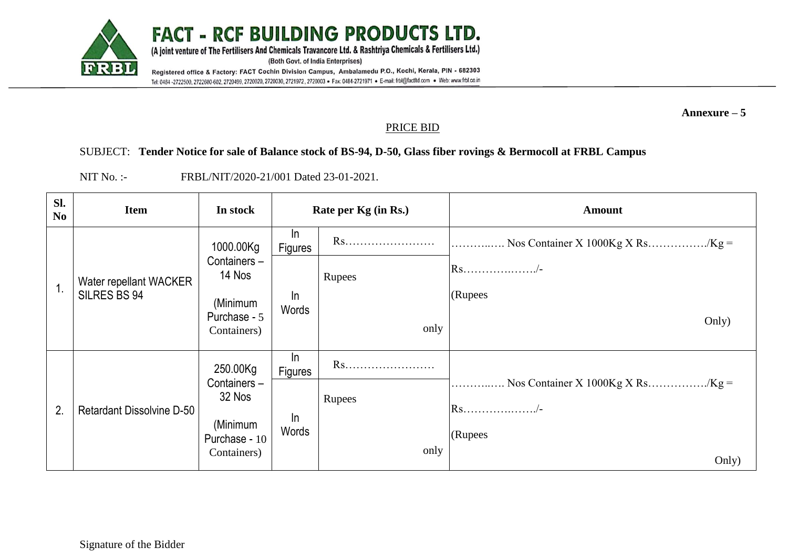

**Annexure – 5**

## PRICE BID

## SUBJECT: **Tender Notice for sale of Balance stock of BS-94, D-50, Glass fiber rovings & Bermocoll at FRBL Campus**

NIT No. :- FRBL/NIT/2020-21/001 Dated 23-01-2021.

| Sl.<br>N <sub>0</sub> | <b>Item</b>                            | In stock                                                                      | Rate per Kg (in Rs.)                |                      | <b>Amount</b>                      |
|-----------------------|----------------------------------------|-------------------------------------------------------------------------------|-------------------------------------|----------------------|------------------------------------|
| 1.                    | Water repellant WACKER<br>SILRES BS 94 | 1000.00Kg<br>Containers-<br>14 Nos<br>(Minimum<br>Purchase - 5<br>Containers) | In<br><b>Figures</b><br>In<br>Words | Rs<br>Rupees<br>only | $\text{Rs}$ /-<br>(Rupees<br>Only) |
| 2.                    | <b>Retardant Dissolvine D-50</b>       | 250.00Kg<br>Containers-<br>32 Nos<br>(Minimum<br>Purchase - 10<br>Containers) | In<br>Figures<br>In<br>Words        | Rs<br>Rupees<br>only | $\text{Rs}$ /-<br>(Rupees<br>Only) |